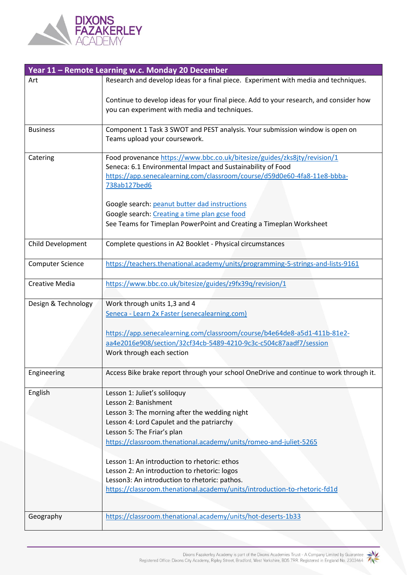

|                         | Year 11 - Remote Learning w.c. Monday 20 December                                                                                       |
|-------------------------|-----------------------------------------------------------------------------------------------------------------------------------------|
| Art                     | Research and develop ideas for a final piece. Experiment with media and techniques.                                                     |
|                         |                                                                                                                                         |
|                         | Continue to develop ideas for your final piece. Add to your research, and consider how                                                  |
|                         | you can experiment with media and techniques.                                                                                           |
|                         |                                                                                                                                         |
| <b>Business</b>         | Component 1 Task 3 SWOT and PEST analysis. Your submission window is open on                                                            |
|                         | Teams upload your coursework.                                                                                                           |
|                         |                                                                                                                                         |
| Catering                | Food provenance https://www.bbc.co.uk/bitesize/guides/zks8jty/revision/1<br>Seneca: 6.1 Environmental Impact and Sustainability of Food |
|                         | https://app.senecalearning.com/classroom/course/d59d0e60-4fa8-11e8-bbba-                                                                |
|                         | 738ab127bed6                                                                                                                            |
|                         |                                                                                                                                         |
|                         | Google search: peanut butter dad instructions                                                                                           |
|                         | Google search: Creating a time plan gcse food                                                                                           |
|                         | See Teams for Timeplan PowerPoint and Creating a Timeplan Worksheet                                                                     |
|                         |                                                                                                                                         |
| Child Development       | Complete questions in A2 Booklet - Physical circumstances                                                                               |
|                         |                                                                                                                                         |
| <b>Computer Science</b> | https://teachers.thenational.academy/units/programming-5-strings-and-lists-9161                                                         |
|                         |                                                                                                                                         |
| <b>Creative Media</b>   | https://www.bbc.co.uk/bitesize/guides/z9fx39q/revision/1                                                                                |
|                         |                                                                                                                                         |
| Design & Technology     | Work through units 1,3 and 4                                                                                                            |
|                         | Seneca - Learn 2x Faster (senecalearning.com)                                                                                           |
|                         |                                                                                                                                         |
|                         | https://app.senecalearning.com/classroom/course/b4e64de8-a5d1-411b-81e2-                                                                |
|                         | aa4e2016e908/section/32cf34cb-5489-4210-9c3c-c504c87aadf7/session                                                                       |
|                         | Work through each section                                                                                                               |
|                         |                                                                                                                                         |
| Engineering             | Access Bike brake report through your school OneDrive and continue to work through it.                                                  |
| English                 | Lesson 1: Juliet's soliloquy                                                                                                            |
|                         | Lesson 2: Banishment                                                                                                                    |
|                         | Lesson 3: The morning after the wedding night                                                                                           |
|                         | Lesson 4: Lord Capulet and the patriarchy                                                                                               |
|                         |                                                                                                                                         |
|                         | Lesson 5: The Friar's plan                                                                                                              |
|                         | https://classroom.thenational.academy/units/romeo-and-juliet-5265                                                                       |
|                         | Lesson 1: An introduction to rhetoric: ethos                                                                                            |
|                         | Lesson 2: An introduction to rhetoric: logos                                                                                            |
|                         | Lesson3: An introduction to rhetoric: pathos.                                                                                           |
|                         | https://classroom.thenational.academy/units/introduction-to-rhetoric-fd1d                                                               |
|                         |                                                                                                                                         |
|                         |                                                                                                                                         |
| Geography               | https://classroom.thenational.academy/units/hot-deserts-1b33                                                                            |
|                         |                                                                                                                                         |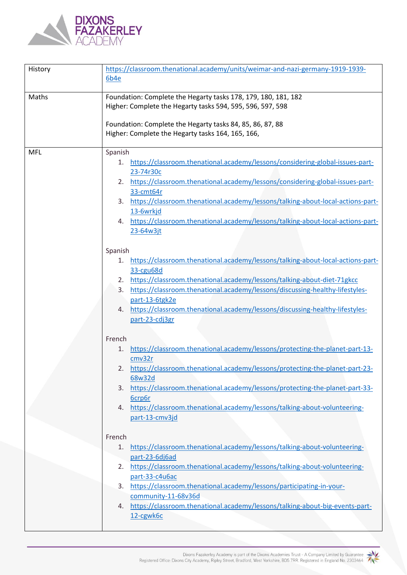

| History    | https://classroom.thenational.academy/units/weimar-and-nazi-germany-1919-1939-<br>6b4e |
|------------|----------------------------------------------------------------------------------------|
|            |                                                                                        |
| Maths      | Foundation: Complete the Hegarty tasks 178, 179, 180, 181, 182                         |
|            | Higher: Complete the Hegarty tasks 594, 595, 596, 597, 598                             |
|            |                                                                                        |
|            | Foundation: Complete the Hegarty tasks 84, 85, 86, 87, 88                              |
|            | Higher: Complete the Hegarty tasks 164, 165, 166,                                      |
|            |                                                                                        |
| <b>MFL</b> | Spanish                                                                                |
|            | https://classroom.thenational.academy/lessons/considering-global-issues-part-<br>1.    |
|            | 23-74r30c                                                                              |
|            | https://classroom.thenational.academy/lessons/considering-global-issues-part-<br>2.    |
|            | 33-cmt64r                                                                              |
|            | https://classroom.thenational.academy/lessons/talking-about-local-actions-part-<br>3.  |
|            | 13-6wrkjd                                                                              |
|            | https://classroom.thenational.academy/lessons/talking-about-local-actions-part-<br>4.  |
|            | 23-64w3jt                                                                              |
|            |                                                                                        |
|            |                                                                                        |
|            | Spanish                                                                                |
|            | https://classroom.thenational.academy/lessons/talking-about-local-actions-part-<br>1.  |
|            | 33-cgu68d                                                                              |
|            | https://classroom.thenational.academy/lessons/talking-about-diet-71gkcc<br>2.          |
|            | https://classroom.thenational.academy/lessons/discussing-healthy-lifestyles-<br>3.     |
|            | part-13-6tgk2e                                                                         |
|            | https://classroom.thenational.academy/lessons/discussing-healthy-lifestyles-<br>4.     |
|            | part-23-cdj3gr                                                                         |
|            |                                                                                        |
|            | French                                                                                 |
|            | https://classroom.thenational.academy/lessons/protecting-the-planet-part-13-<br>1.     |
|            | cmv32r                                                                                 |
|            | 2. https://classroom.thenational.academy/lessons/protecting-the-planet-part-23-        |
|            | 68w32d                                                                                 |
|            | https://classroom.thenational.academy/lessons/protecting-the-planet-part-33-<br>3.     |
|            | 6crp6r                                                                                 |
|            | https://classroom.thenational.academy/lessons/talking-about-volunteering-<br>4.        |
|            | part-13-cmv3jd                                                                         |
|            |                                                                                        |
|            |                                                                                        |
|            | French                                                                                 |
|            | https://classroom.thenational.academy/lessons/talking-about-volunteering-<br>1.        |
|            | part-23-6dj6ad                                                                         |
|            | https://classroom.thenational.academy/lessons/talking-about-volunteering-<br>2.        |
|            | part-33-c4u6ac                                                                         |
|            | https://classroom.thenational.academy/lessons/participating-in-your-<br>3.             |
|            | community-11-68v36d                                                                    |
|            | 4. https://classroom.thenational.academy/lessons/talking-about-big-events-part-        |
|            | 12-cgwk6c                                                                              |
|            |                                                                                        |